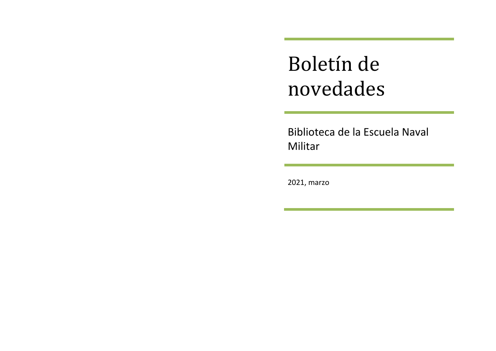Boletín de novedades

Biblioteca de la Escuela Naval Militar

2021, marzo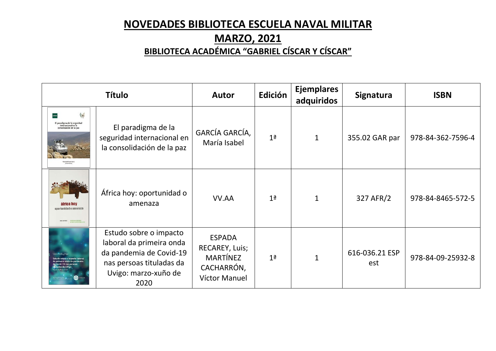# **NOVEDADES BIBLIOTECA ESCUELA NAVAL MILITAR**

# **MARZO, 2021**

# **BIBLIOTECA ACADÉMICA "GABRIEL CÍSCAR Y CÍSCAR"**

| <b>Título</b>                                                                       |                                                                                                                                           | <b>Autor</b>                                                                      | Edición        | <b>Ejemplares</b><br>adquiridos | Signatura             | <b>ISBN</b>       |
|-------------------------------------------------------------------------------------|-------------------------------------------------------------------------------------------------------------------------------------------|-----------------------------------------------------------------------------------|----------------|---------------------------------|-----------------------|-------------------|
| 鳊<br>El paradigma de la seguridad<br>internacional en la<br>consolidación de la paz | El paradigma de la<br>seguridad internacional en<br>la consolidación de la paz                                                            | GARCÍA GARCÍA,<br>María Isabel                                                    | 1 <sup>a</sup> | $\mathbf{1}$                    | 355.02 GAR par        | 978-84-362-7596-4 |
| áfrica hoy<br>enertunidad o amenaza                                                 | África hoy: oportunidad o<br>amenaza                                                                                                      | VV.AA                                                                             | 1 <sup>a</sup> | $\mathbf{1}$                    | 327 AFR/2             | 978-84-8465-572-5 |
| meira onda da pandemia<br>id-19 nas persoas<br>las da UVigo<br>$\bullet$            | Estudo sobre o impacto<br>laboral da primeira onda<br>da pandemia de Covid-19<br>nas persoas tituladas da<br>Uvigo: marzo-xuño de<br>2020 | <b>ESPADA</b><br>RECAREY, Luis;<br><b>MARTÍNEZ</b><br>CACHARRÓN,<br>Víctor Manuel | 1 <sup>a</sup> | $\mathbf{1}$                    | 616-036.21 ESP<br>est | 978-84-09-25932-8 |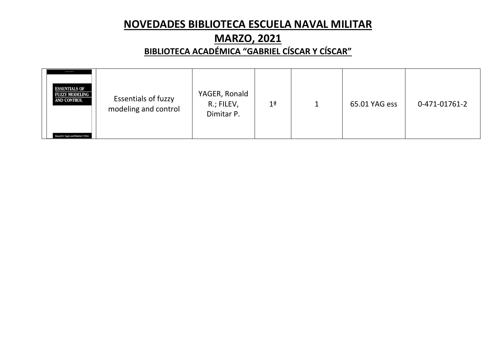# **NOVEDADES BIBLIOTECA ESCUELA NAVAL MILITAR**

# **MARZO, 2021**

### **BIBLIOTECA ACADÉMICA "GABRIEL CÍSCAR Y CÍSCAR"**